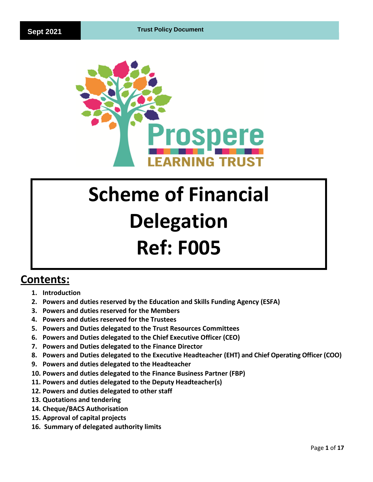

# **Scheme of Financial Delegation Ref: F005**

# **Contents:**

- **1. Introduction**
- **2. Powers and duties reserved by the Education and Skills Funding Agency (ESFA)**
- **3. Powers and duties reserved for the Members**
- **4. Powers and duties reserved for the Trustees**
- **5. Powers and Duties delegated to the Trust Resources Committees**
- **6. Powers and Duties delegated to the Chief Executive Officer (CEO)**
- **7. Powers and Duties delegated to the Finance Director**
- **8. Powers and Duties delegated to the Executive Headteacher (EHT) and Chief Operating Officer (COO)**
- **9. Powers and duties delegated to the Headteacher**
- **10. Powers and duties delegated to the Finance Business Partner (FBP)**
- **11. Powers and duties delegated to the Deputy Headteacher(s)**
- **12. Powers and duties delegated to other staff**
- **13. Quotations and tendering**
- **14. Cheque/BACS Authorisation**
- **15. Approval of capital projects**
- **16. Summary of delegated authority limits**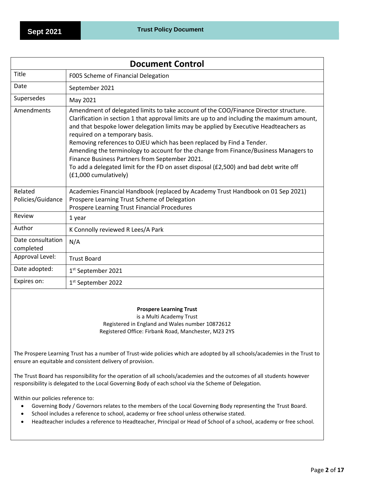| <b>Document Control</b>        |                                                                                                                                                                                                                                                                                                                                                                                                                                                                                                                                                                                                                                                    |  |  |
|--------------------------------|----------------------------------------------------------------------------------------------------------------------------------------------------------------------------------------------------------------------------------------------------------------------------------------------------------------------------------------------------------------------------------------------------------------------------------------------------------------------------------------------------------------------------------------------------------------------------------------------------------------------------------------------------|--|--|
| Title                          | F005 Scheme of Financial Delegation                                                                                                                                                                                                                                                                                                                                                                                                                                                                                                                                                                                                                |  |  |
| Date                           | September 2021                                                                                                                                                                                                                                                                                                                                                                                                                                                                                                                                                                                                                                     |  |  |
| Supersedes                     | May 2021                                                                                                                                                                                                                                                                                                                                                                                                                                                                                                                                                                                                                                           |  |  |
| Amendments                     | Amendment of delegated limits to take account of the COO/Finance Director structure.<br>Clarification in section 1 that approval limits are up to and including the maximum amount,<br>and that bespoke lower delegation limits may be applied by Executive Headteachers as<br>required on a temporary basis.<br>Removing references to OJEU which has been replaced by Find a Tender.<br>Amending the terminology to account for the change from Finance/Business Managers to<br>Finance Business Partners from September 2021.<br>To add a delegated limit for the FD on asset disposal (£2,500) and bad debt write off<br>(£1,000 cumulatively) |  |  |
| Related<br>Policies/Guidance   | Academies Financial Handbook (replaced by Academy Trust Handbook on 01 Sep 2021)<br>Prospere Learning Trust Scheme of Delegation<br>Prospere Learning Trust Financial Procedures                                                                                                                                                                                                                                                                                                                                                                                                                                                                   |  |  |
| Review                         | 1 year                                                                                                                                                                                                                                                                                                                                                                                                                                                                                                                                                                                                                                             |  |  |
| Author                         | K Connolly reviewed R Lees/A Park                                                                                                                                                                                                                                                                                                                                                                                                                                                                                                                                                                                                                  |  |  |
| Date consultation<br>completed | N/A                                                                                                                                                                                                                                                                                                                                                                                                                                                                                                                                                                                                                                                |  |  |
| Approval Level:                | <b>Trust Board</b>                                                                                                                                                                                                                                                                                                                                                                                                                                                                                                                                                                                                                                 |  |  |
| Date adopted:                  | 1 <sup>st</sup> September 2021                                                                                                                                                                                                                                                                                                                                                                                                                                                                                                                                                                                                                     |  |  |
| Expires on:                    | 1 <sup>st</sup> September 2022                                                                                                                                                                                                                                                                                                                                                                                                                                                                                                                                                                                                                     |  |  |

# **Prospere Learning Trust**

is a Multi Academy Trust Registered in England and Wales number 10872612 Registered Office: Firbank Road, Manchester, M23 2YS

The Prospere Learning Trust has a number of Trust-wide policies which are adopted by all schools/academies in the Trust to ensure an equitable and consistent delivery of provision.

The Trust Board has responsibility for the operation of all schools/academies and the outcomes of all students however responsibility is delegated to the Local Governing Body of each school via the Scheme of Delegation.

Within our policies reference to:

- Governing Body / Governors relates to the members of the Local Governing Body representing the Trust Board.
- School includes a reference to school, academy or free school unless otherwise stated.
- Headteacher includes a reference to Headteacher, Principal or Head of School of a school, academy or free school.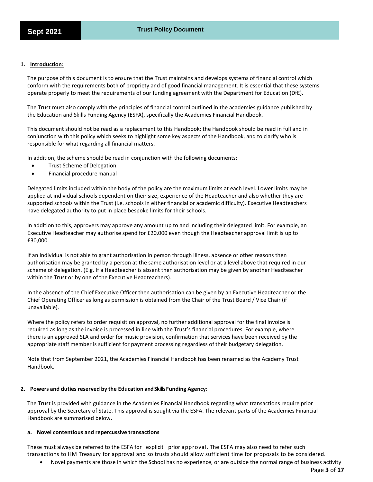# **1. Introduction:**

The purpose of this document is to ensure that the Trust maintains and develops systems of financial control which conform with the requirements both of propriety and of good financial management. It is essential that these systems operate properly to meet the requirements of our funding agreement with the Department for Education (DfE).

The Trust must also comply with the principles of financial control outlined in the academies guidance published by the Education and Skills Funding Agency (ESFA), specifically the Academies Financial Handbook.

This document should not be read as a replacement to this Handbook; the Handbook should be read in full and in conjunction with this policy which seeks to highlight some key aspects of the Handbook, and to clarify who is responsible for what regarding all financial matters.

In addition, the scheme should be read in conjunction with the following documents:

- Trust Scheme of Delegation
- Financial procedure manual

Delegated limits included within the body of the policy are the maximum limits at each level. Lower limits may be applied at individual schools dependent on their size, experience of the Headteacher and also whether they are supported schools within the Trust (i.e. schools in either financial or academic difficulty). Executive Headteachers have delegated authority to put in place bespoke limits for their schools.

In addition to this, approvers may approve any amount up to and including their delegated limit. For example, an Executive Headteacher may authorise spend for £20,000 even though the Headteacher approval limit is up to £30,000.

If an individual is not able to grant authorisation in person through illness, absence or other reasons then authorisation may be granted by a person at the same authorisation level or at a level above that required in our scheme of delegation. (E.g. If a Headteacher is absent then authorisation may be given by another Headteacher within the Trust or by one of the Executive Headteachers).

In the absence of the Chief Executive Officer then authorisation can be given by an Executive Headteacher or the Chief Operating Officer as long as permission is obtained from the Chair of the Trust Board / Vice Chair (if unavailable).

Where the policy refers to order requisition approval, no further additional approval for the final invoice is required as long as the invoice is processed in line with the Trust's financial procedures. For example, where there is an approved SLA and order for music provision, confirmation that services have been received by the appropriate staff member is sufficient for payment processing regardless of their budgetary delegation.

Note that from September 2021, the Academies Financial Handbook has been renamed as the Academy Trust Handbook.

#### **2. Powers and duties reserved by the Education andSkillsFunding Agency:**

The Trust is provided with guidance in the Academies Financial Handbook regarding what transactions require prior approval by the Secretary of State. This approval is sought via the ESFA. The relevant parts of the Academies Financial Handbook are summarised below**.**

# **a. Novel contentious and repercussive transactions**

These must always be referred to the ESFA for explicit prior approval. The ESFA may also need to refer such transactions to HM Treasury for approval and so trusts should allow sufficient time for proposals to be considered.

• Novel payments are those in which the School has no experience, or are outside the normal range of business activity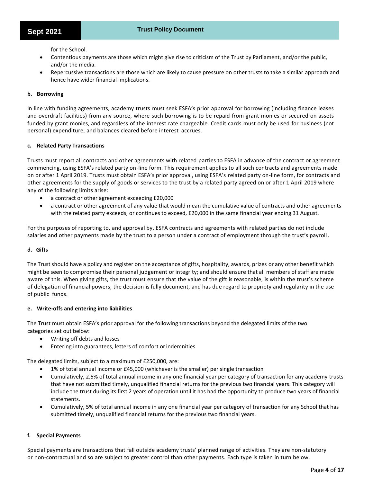for the School.

- Contentious payments are those which might give rise to criticism of the Trust by Parliament, and/or the public, and/or the media.
- Repercussive transactions are those which are likely to cause pressure on other trusts to take a similar approach and hence have wider financial implications.

# **b. Borrowing**

In line with funding agreements, academy trusts must seek ESFA's prior approval for borrowing (including finance leases and overdraft facilities) from any source, where such borrowing is to be repaid from grant monies or secured on assets funded by grant monies, and regardless of the interest rate chargeable. Credit cards must only be used for business (not personal) expenditure, and balances cleared before interest accrues.

# **c. Related Party Transactions**

Trusts must report all contracts and other agreements with related parties to ESFA in advance of the contract or agreement commencing, using ESFA's related party on-line form. This requirement applies to all such contracts and agreements made on or after 1 April 2019. Trusts must obtain ESFA's prior approval, using ESFA's related party on-line form, for contracts and other agreements for the supply of goods or services to the trust by a related party agreed on or after 1 April 2019 where any of the following limits arise:

- a contract or other agreement exceeding £20,000
- a contract or other agreement of any value that would mean the cumulative value of contracts and other agreements with the related party exceeds, or continues to exceed, £20,000 in the same financial year ending 31 August.

For the purposes of reporting to, and approval by, ESFA contracts and agreements with related parties do not include salaries and other payments made by the trust to a person under a contract of employment through the trust's payroll .

# **d. Gifts**

The Trust should have a policy and register on the acceptance of gifts, hospitality, awards, prizes or any other benefit which might be seen to compromise their personal judgement or integrity; and should ensure that all members of staff are made aware of this. When giving gifts, the trust must ensure that the value of the gift is reasonable, is within the trust's scheme of delegation of financial powers, the decision is fully document, and has due regard to propriety and regularity in the use of public funds.

# **e. Write-offs and entering into liabilities**

The Trust must obtain ESFA's prior approval for the following transactions beyond the delegated limits of the two categories set out below:

- Writing off debts and losses
- Entering into guarantees, letters of comfort or indemnities

The delegated limits, subject to a maximum of £250,000, are:

- 1% of total annual income or £45,000 (whichever is the smaller) per single transaction
- Cumulatively, 2.5% of total annual income in any one financial year per category of transaction for any academy trusts that have not submitted timely, unqualified financial returns for the previous two financial years. This category will include the trust during its first 2 years of operation until it has had the opportunity to produce two years of financial statements.
- Cumulatively, 5% of total annual income in any one financial year per category of transaction for any School that has submitted timely, unqualified financial returns for the previous two financial years.

# **f. Special Payments**

Special payments are transactions that fall outside academy trusts' planned range of activities. They are non-statutory or non-contractual and so are subject to greater control than other payments. Each type is taken in turn below.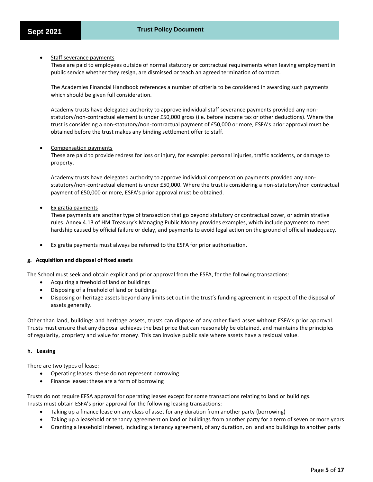Staff severance payments

These are paid to employees outside of normal statutory or contractual requirements when leaving employment in public service whether they resign, are dismissed or teach an agreed termination of contract.

The Academies Financial Handbook references a number of criteria to be considered in awarding such payments which should be given full consideration.

Academy trusts have delegated authority to approve individual staff severance payments provided any nonstatutory/non-contractual element is under £50,000 gross (i.e. before income tax or other deductions). Where the trust is considering a non-statutory/non-contractual payment of £50,000 or more, ESFA's prior approval must be obtained before the trust makes any binding settlement offer to staff.

# Compensation payments

These are paid to provide redress for loss or injury, for example: personal injuries, traffic accidents, or damage to property.

Academy trusts have delegated authority to approve individual compensation payments provided any nonstatutory/non-contractual element is under £50,000. Where the trust is considering a non-statutory/non contractual payment of £50,000 or more, ESFA's prior approval must be obtained.

**Ex gratia payments** 

These payments are another type of transaction that go beyond statutory or contractual cover, or administrative rules. Annex 4.13 of HM Treasury's Managing Public Money provides examples, which include payments to meet hardship caused by official failure or delay, and payments to avoid legal action on the ground of official inadequacy.

• Ex gratia payments must always be referred to the ESFA for prior authorisation.

# **g. Acquisition and disposal of fixed assets**

The School must seek and obtain explicit and prior approval from the ESFA, for the following transactions:

- Acquiring a freehold of land or buildings
- Disposing of a freehold of land or buildings
- Disposing or heritage assets beyond any limits set out in the trust's funding agreement in respect of the disposal of assets generally.

Other than land, buildings and heritage assets, trusts can dispose of any other fixed asset without ESFA's prior approval. Trusts must ensure that any disposal achieves the best price that can reasonably be obtained, and maintains the principles of regularity, propriety and value for money. This can involve public sale where assets have a residual value.

# **h. Leasing**

There are two types of lease:

- Operating leases: these do not represent borrowing
- Finance leases: these are a form of borrowing

Trusts do not require EFSA approval for operating leases except for some transactions relating to land or buildings. Trusts must obtain ESFA's prior approval for the following leasing transactions:

- Taking up a finance lease on any class of asset for any duration from another party (borrowing)
- Taking up a leasehold or tenancy agreement on land or buildings from another party for a term of seven or more years
- Granting a leasehold interest, including a tenancy agreement, of any duration, on land and buildings to another party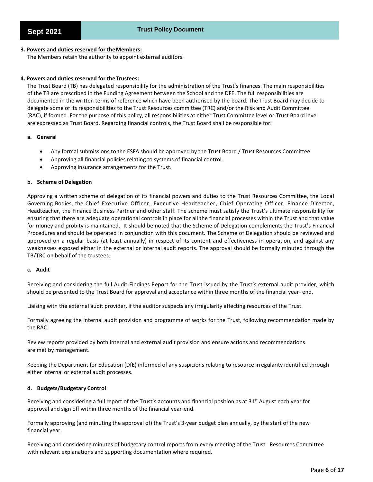# **3. Powers and duties reserved for theMembers:**

The Members retain the authority to appoint external auditors.

# **4. Powers and duties reserved for theTrustees:**

The Trust Board (TB) has delegated responsibility for the administration of the Trust's finances. The main responsibilities of the TB are prescribed in the Funding Agreement between the School and the DFE. The full responsibilities are documented in the written terms of reference which have been authorised by the board. The Trust Board may decide to delegate some of its responsibilities to the Trust Resources committee (TRC) and/or the Risk and Audit Committee (RAC), if formed. For the purpose of this policy, all responsibilities at either Trust Committee level or Trust Board level are expressed as Trust Board. Regarding financial controls, the Trust Board shall be responsible for:

# **a. General**

- Any formal submissions to the ESFA should be approved by the Trust Board / Trust Resources Committee.
- Approving all financial policies relating to systems of financial control.
- Approving insurance arrangements for the Trust.

# **b. Scheme of Delegation**

Approving a written scheme of delegation of its financial powers and duties to the Trust Resources Committee, the Local Governing Bodies, the Chief Executive Officer, Executive Headteacher, Chief Operating Officer, Finance Director, Headteacher, the Finance Business Partner and other staff. The scheme must satisfy the Trust's ultimate responsibility for ensuring that there are adequate operational controls in place for all the financial processes within the Trust and that value for money and probity is maintained. It should be noted that the Scheme of Delegation complements the Trust's Financial Procedures and should be operated in conjunction with this document. The Scheme of Delegation should be reviewed and approved on a regular basis (at least annually) in respect of its content and effectiveness in operation, and against any weaknesses exposed either in the external or internal audit reports. The approval should be formally minuted through the TB/TRC on behalf of the trustees.

# **c. Audit**

Receiving and considering the full Audit Findings Report for the Trust issued by the Trust's external audit provider, which should be presented to the Trust Board for approval and acceptance within three months of the financial year- end.

Liaising with the external audit provider, if the auditor suspects any irregularity affecting resources of the Trust.

Formally agreeing the internal audit provision and programme of works for the Trust, following recommendation made by the RAC.

Review reports provided by both internal and external audit provision and ensure actions and recommendations are met by management.

Keeping the Department for Education (DfE) informed of any suspicions relating to resource irregularity identified through either internal or external audit processes.

# **d. Budgets/Budgetary Control**

Receiving and considering a full report of the Trust's accounts and financial position as at 31<sup>st</sup> August each year for approval and sign off within three months of the financial year-end.

Formally approving (and minuting the approval of) the Trust's 3-year budget plan annually, by the start of the new financial year.

Receiving and considering minutes of budgetary control reports from every meeting of the Trust Resources Committee with relevant explanations and supporting documentation where required.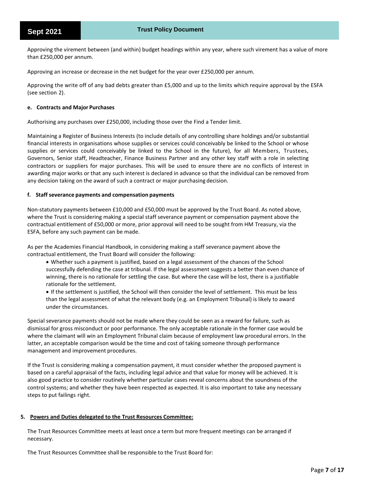Approving the virement between (and within) budget headings within any year, where such virement has a value of more than £250,000 per annum.

Approving an increase or decrease in the net budget for the year over £250,000 per annum.

Approving the write off of any bad debts greater than £5,000 and up to the limits which require approval by the ESFA (see section 2).

#### **e. Contracts and Major Purchases**

Authorising any purchases over £250,000, including those over the Find a Tender limit.

Maintaining a Register of Business Interests (to include details of any controlling share holdings and/or substantial financial interests in organisations whose supplies or services could conceivably be linked to the School or whose supplies or services could conceivably be linked to the School in the future), for all Members, Trustees, Governors, Senior staff, Headteacher, Finance Business Partner and any other key staff with a role in selecting contractors or suppliers for major purchases. This will be used to ensure there are no conflicts of interest in awarding major works or that any such interest is declared in advance so that the individual can be removed from any decision taking on the award of such a contract or major purchasing decision.

#### **f. Staff severance payments and compensation payments**

Non-statutory payments between £10,000 and £50,000 must be approved by the Trust Board. As noted above, where the Trust is considering making a special staff severance payment or compensation payment above the contractual entitlement of £50,000 or more, prior approval will need to be sought from HM Treasury, via the ESFA, before any such payment can be made.

As per the Academies Financial Handbook, in considering making a staff severance payment above the contractual entitlement, the Trust Board will consider the following:

• Whether such a payment is justified, based on a legal assessment of the chances of the School successfully defending the case at tribunal. If the legal assessment suggests a better than even chance of winning, there is no rationale for settling the case. But where the case will be lost, there is a justifiable rationale for the settlement.

• If the settlement is justified, the School will then consider the level of settlement. This must be less than the legal assessment of what the relevant body (e.g. an Employment Tribunal) is likely to award under the circumstances.

Special severance payments should not be made where they could be seen as a reward for failure, such as dismissal for gross misconduct or poor performance. The only acceptable rationale in the former case would be where the claimant will win an Employment Tribunal claim because of employment law procedural errors. In the latter, an acceptable comparison would be the time and cost of taking someone through performance management and improvement procedures.

If the Trust is considering making a compensation payment, it must consider whether the proposed payment is based on a careful appraisal of the facts, including legal advice and that value for money will be achieved. It is also good practice to consider routinely whether particular cases reveal concerns about the soundness of the control systems; and whether they have been respected as expected. It is also important to take any necessary steps to put failings right.

# **5. Powers and Duties delegated to the Trust Resources Committee:**

The Trust Resources Committee meets at least once a term but more frequent meetings can be arranged if necessary.

The Trust Resources Committee shall be responsible to the Trust Board for: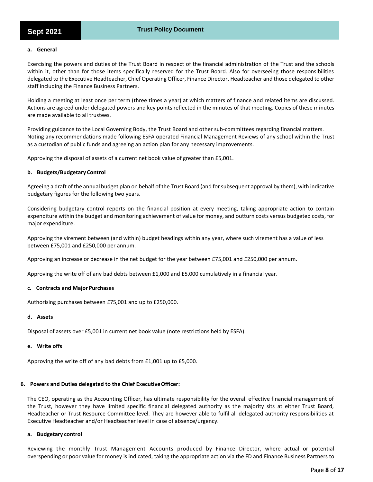# **a. General**

Exercising the powers and duties of the Trust Board in respect of the financial administration of the Trust and the schools within it, other than for those items specifically reserved for the Trust Board. Also for overseeing those responsibilities delegated to the Executive Headteacher, Chief Operating Officer, Finance Director, Headteacher and those delegated to other staff including the Finance Business Partners.

Holding a meeting at least once per term (three times a year) at which matters of finance and related items are discussed. Actions are agreed under delegated powers and key points reflected in the minutes of that meeting. Copies of these minutes are made available to all trustees.

Providing guidance to the Local Governing Body, the Trust Board and other sub-committees regarding financial matters. Noting any recommendations made following ESFA operated Financial Management Reviews of any school within the Trust as a custodian of public funds and agreeing an action plan for any necessary improvements.

Approving the disposal of assets of a current net book value of greater than £5,001.

# **b. Budgets/Budgetary Control**

Agreeing a draft of the annual budget plan on behalf of the Trust Board (and for subsequent approval by them), with indicative budgetary figures for the following two years.

Considering budgetary control reports on the financial position at every meeting, taking appropriate action to contain expenditure within the budget and monitoring achievement of value for money, and outturn costs versus budgeted costs, for major expenditure.

Approving the virement between (and within) budget headings within any year, where such virement has a value of less between £75,001 and £250,000 per annum.

Approving an increase or decrease in the net budget for the year between £75,001 and £250,000 per annum.

Approving the write off of any bad debts between £1,000 and £5,000 cumulatively in a financial year.

#### **c. Contracts and Major Purchases**

Authorising purchases between £75,001 and up to £250,000.

# **d. Assets**

Disposal of assets over £5,001 in current net book value (note restrictions held by ESFA).

#### **e. Write offs**

Approving the write off of any bad debts from £1,001 up to £5,000.

#### **6. Powers and Duties delegated to the Chief ExecutiveOfficer:**

The CEO, operating as the Accounting Officer, has ultimate responsibility for the overall effective financial management of the Trust, however they have limited specific financial delegated authority as the majority sits at either Trust Board, Headteacher or Trust Resource Committee level. They are however able to fulfil all delegated authority responsibilities at Executive Headteacher and/or Headteacher level in case of absence/urgency.

#### **a. Budgetary control**

Reviewing the monthly Trust Management Accounts produced by Finance Director, where actual or potential overspending or poor value for money is indicated, taking the appropriate action via the FD and Finance Business Partners to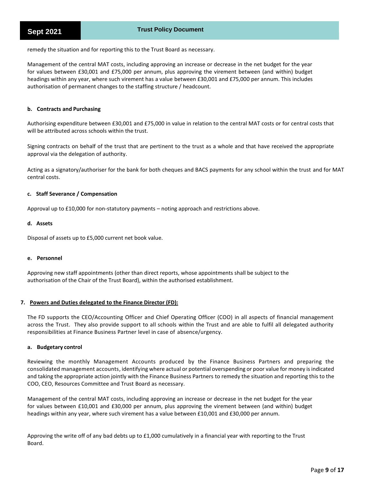remedy the situation and for reporting this to the Trust Board as necessary.

Management of the central MAT costs, including approving an increase or decrease in the net budget for the year for values between £30,001 and £75,000 per annum, plus approving the virement between (and within) budget headings within any year, where such virement has a value between £30,001 and £75,000 per annum. This includes authorisation of permanent changes to the staffing structure / headcount.

# **b. Contracts and Purchasing**

Authorising expenditure between £30,001 and £75,000 in value in relation to the central MAT costs or for central costs that will be attributed across schools within the trust.

Signing contracts on behalf of the trust that are pertinent to the trust as a whole and that have received the appropriate approval via the delegation of authority.

Acting as a signatory/authoriser for the bank for both cheques and BACS payments for any school within the trust and for MAT central costs.

# **c. Staff Severance / Compensation**

Approval up to £10,000 for non-statutory payments – noting approach and restrictions above.

# **d. Assets**

Disposal of assets up to £5,000 current net book value.

# **e. Personnel**

Approving new staff appointments (other than direct reports, whose appointments shall be subject to the authorisation of the Chair of the Trust Board), within the authorised establishment.

# **7. Powers and Duties delegated to the Finance Director (FD):**

The FD supports the CEO/Accounting Officer and Chief Operating Officer (COO) in all aspects of financial management across the Trust. They also provide support to all schools within the Trust and are able to fulfil all delegated authority responsibilities at Finance Business Partner level in case of absence/urgency.

# **a. Budgetary control**

Reviewing the monthly Management Accounts produced by the Finance Business Partners and preparing the consolidated management accounts, identifying where actual or potential overspending or poor value for money is indicated and taking the appropriate action jointly with the Finance Business Partners to remedy the situation and reporting this to the COO, CEO, Resources Committee and Trust Board as necessary.

Management of the central MAT costs, including approving an increase or decrease in the net budget for the year for values between £10,001 and £30,000 per annum, plus approving the virement between (and within) budget headings within any year, where such virement has a value between £10,001 and £30,000 per annum.

Approving the write off of any bad debts up to £1,000 cumulatively in a financial year with reporting to the Trust Board.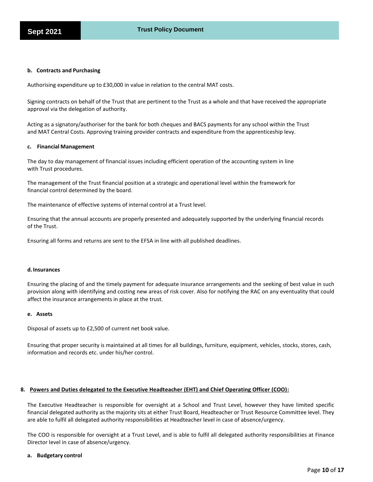# **b. Contracts and Purchasing**

Authorising expenditure up to £30,000 in value in relation to the central MAT costs.

Signing contracts on behalf of the Trust that are pertinent to the Trust as a whole and that have received the appropriate approval via the delegation of authority.

Acting as a signatory/authoriser for the bank for both cheques and BACS payments for any school within the Trust and MAT Central Costs. Approving training provider contracts and expenditure from the apprenticeship levy.

#### **c. Financial Management**

The day to day management of financial issues including efficient operation of the accounting system in line with Trust procedures.

The management of the Trust financial position at a strategic and operational level within the framework for financial control determined by the board.

The maintenance of effective systems of internal control at a Trust level.

Ensuring that the annual accounts are properly presented and adequately supported by the underlying financial records of the Trust.

Ensuring all forms and returns are sent to the EFSA in line with all published deadlines.

#### **d.Insurances**

Ensuring the placing of and the timely payment for adequate insurance arrangements and the seeking of best value in such provision along with identifying and costing new areas of risk cover. Also for notifying the RAC on any eventuality that could affect the insurance arrangements in place at the trust.

#### **e. Assets**

Disposal of assets up to £2,500 of current net book value.

Ensuring that proper security is maintained at all times for all buildings, furniture, equipment, vehicles, stocks, stores, cash, information and records etc. under his/her control.

# **8. Powers and Duties delegated to the Executive Headteacher (EHT) and Chief Operating Officer (COO):**

The Executive Headteacher is responsible for oversight at a School and Trust Level, however they have limited specific financial delegated authority as the majority sits at either Trust Board, Headteacher or Trust Resource Committee level. They are able to fulfil all delegated authority responsibilities at Headteacher level in case of absence/urgency.

The COO is responsible for oversight at a Trust Level, and is able to fulfil all delegated authority responsibilities at Finance Director level in case of absence/urgency.

#### **a. Budgetary control**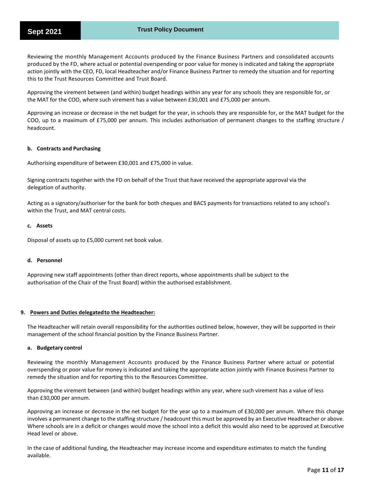Reviewing the monthly Management Accounts produced by the Finance Business Partners and consolidated accounts produced by the FD, where actual or potential overspending or poor value for money is indicated and taking the appropriate action jointly with the CEO, FD, local Headteacher and/or Finance Business Partner to remedy the situation and for reporting this to the Trust Resources Committee and Trust Board.

Approving the virement between (and within) budget headings within any year for any schools they are responsible for, or the MAT for the COO, where such virement has a value between £30,001 and £75,000 per annum.

Approving an increase or decrease in the net budget for the year, in schools they are responsible for, or the MAT budget for the COO, up to a maximum of £75,000 per annum. This includes authorisation of permanent changes to the staffing structure / headcount.

# **b. Contracts and Purchasing**

Authorising expenditure of between £30,001 and £75,000 in value.

Signing contracts together with the FD on behalf of the Trust that have received the appropriate approval via the delegation of authority.

Acting as a signatory/authoriser for the bank for both cheques and BACS payments for transactions related to any school's within the Trust, and MAT central costs.

# **c. Assets**

Disposal of assets up to £5,000 current net book value.

# **d. Personnel**

Approving new staff appointments (other than direct reports, whose appointments shall be subject to the authorisation of the Chair of the Trust Board) within the authorised establishment.

# **9. Powers and Duties delegatedto the Headteacher:**

The Headteacher will retain overall responsibility for the authorities outlined below, however, they will be supported in their management of the school financial position by the Finance Business Partner.

#### **a. Budgetary control**

Reviewing the monthly Management Accounts produced by the Finance Business Partner where actual or potential overspending or poor value for money is indicated and taking the appropriate action jointly with Finance Business Partner to remedy the situation and for reporting this to the Resources Committee.

Approving the virement between (and within) budget headings within any year, where such virement has a value of less than £30,000 per annum.

Approving an increase or decrease in the net budget for the year up to a maximum of £30,000 per annum. Where this change involves a permanent change to the staffing structure / headcount this must be approved by an Executive Headteacher or above. Where schools are in a deficit or changes would move the school into a deficit this would also need to be approved at Executive Head level or above.

In the case of additional funding, the Headteacher may increase income and expenditure estimates to match the funding available.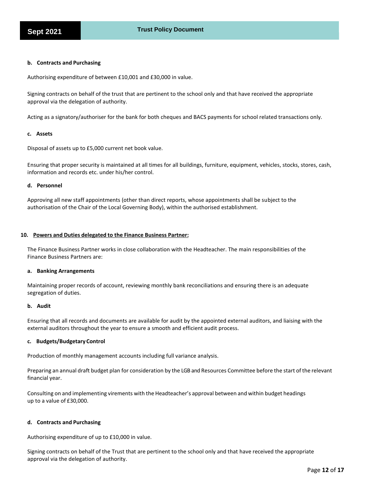# **b. Contracts and Purchasing**

Authorising expenditure of between £10,001 and £30,000 in value.

Signing contracts on behalf of the trust that are pertinent to the school only and that have received the appropriate approval via the delegation of authority.

Acting as a signatory/authoriser for the bank for both cheques and BACS payments for school related transactions only.

# **c. Assets**

Disposal of assets up to £5,000 current net book value.

Ensuring that proper security is maintained at all times for all buildings, furniture, equipment, vehicles, stocks, stores, cash, information and records etc. under his/her control.

# **d. Personnel**

Approving all new staff appointments (other than direct reports, whose appointments shall be subject to the authorisation of the Chair of the Local Governing Body), within the authorised establishment.

#### **10. Powers and Duties delegated to the Finance Business Partner:**

The Finance Business Partner works in close collaboration with the Headteacher. The main responsibilities of the Finance Business Partners are:

#### **a. Banking Arrangements**

Maintaining proper records of account, reviewing monthly bank reconciliations and ensuring there is an adequate segregation of duties.

#### **b. Audit**

Ensuring that all records and documents are available for audit by the appointed external auditors, and liaising with the external auditors throughout the year to ensure a smooth and efficient audit process.

# **c. Budgets/Budgetary Control**

Production of monthly management accounts including full variance analysis.

Preparing an annual draft budget plan for consideration by the LGB and Resources Committee before the start of the relevant financial year.

Consulting on and implementing virements with the Headteacher's approval between and within budget headings up to a value of £30,000.

# **d. Contracts and Purchasing**

Authorising expenditure of up to £10,000 in value.

Signing contracts on behalf of the Trust that are pertinent to the school only and that have received the appropriate approval via the delegation of authority.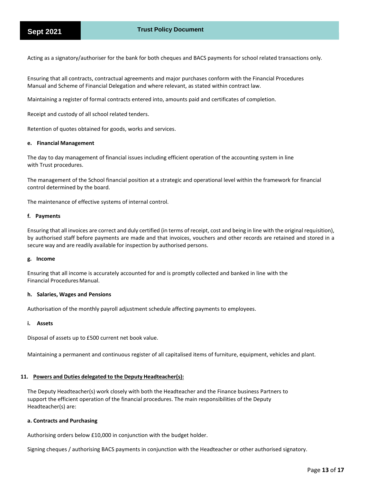Acting as a signatory/authoriser for the bank for both cheques and BACS payments for school related transactions only.

Ensuring that all contracts, contractual agreements and major purchases conform with the Financial Procedures Manual and Scheme of Financial Delegation and where relevant, as stated within contract law.

Maintaining a register of formal contracts entered into, amounts paid and certificates of completion.

Receipt and custody of all school related tenders.

Retention of quotes obtained for goods, works and services.

#### **e. Financial Management**

The day to day management of financial issues including efficient operation of the accounting system in line with Trust procedures.

The management of the School financial position at a strategic and operational level within the framework for financial control determined by the board.

The maintenance of effective systems of internal control.

#### **f. Payments**

Ensuring that all invoices are correct and duly certified (in terms of receipt, cost and being in line with the original requisition), by authorised staff before payments are made and that invoices, vouchers and other records are retained and stored in a secure way and are readily available for inspection by authorised persons.

# **g. Income**

Ensuring that all income is accurately accounted for and is promptly collected and banked in line with the Financial Procedures Manual.

# **h. Salaries, Wages and Pensions**

Authorisation of the monthly payroll adjustment schedule affecting payments to employees.

#### **i. Assets**

Disposal of assets up to £500 current net book value.

Maintaining a permanent and continuous register of all capitalised items of furniture, equipment, vehicles and plant.

# **11. Powers and Duties delegated to the Deputy Headteacher(s):**

The Deputy Headteacher(s) work closely with both the Headteacher and the Finance business Partners to support the efficient operation of the financial procedures. The main responsibilities of the Deputy Headteacher(s) are:

#### **a. Contracts and Purchasing**

Authorising orders below £10,000 in conjunction with the budget holder.

Signing cheques / authorising BACS payments in conjunction with the Headteacher or other authorised signatory.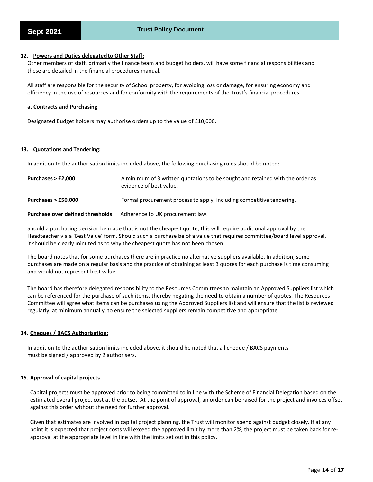# **12. Powers and Duties delegatedto Other Staff:**

Other members of staff, primarily the finance team and budget holders, will have some financial responsibilities and these are detailed in the financial procedures manual.

All staff are responsible for the security of School property, for avoiding loss or damage, for ensuring economy and efficiency in the use of resources and for conformity with the requirements of the Trust's financial procedures.

# **a. Contracts and Purchasing**

Designated Budget holders may authorise orders up to the value of £10,000.

# **13. Quotations and Tendering:**

In addition to the authorisation limits included above, the following purchasing rules should be noted:

| Purchases $>$ £2,000                    | A minimum of 3 written quotations to be sought and retained with the order as<br>evidence of best value. |
|-----------------------------------------|----------------------------------------------------------------------------------------------------------|
| Purchases $>$ £50,000                   | Formal procurement process to apply, including competitive tendering.                                    |
| <b>Purchase over defined thresholds</b> | Adherence to UK procurement law.                                                                         |

Should a purchasing decision be made that is not the cheapest quote, this will require additional approval by the Headteacher via a 'Best Value' form. Should such a purchase be of a value that requires committee/board level approval, it should be clearly minuted as to why the cheapest quote has not been chosen.

The board notes that for some purchases there are in practice no alternative suppliers available. In addition, some purchases are made on a regular basis and the practice of obtaining at least 3 quotes for each purchase is time consuming and would not represent best value.

The board has therefore delegated responsibility to the Resources Committees to maintain an Approved Suppliers list which can be referenced for the purchase of such items, thereby negating the need to obtain a number of quotes. The Resources Committee will agree what items can be purchases using the Approved Suppliers list and will ensure that the list is reviewed regularly, at minimum annually, to ensure the selected suppliers remain competitive and appropriate.

# **14. Cheques / BACS Authorisation:**

In addition to the authorisation limits included above, it should be noted that all cheque / BACS payments must be signed / approved by 2 authorisers.

# **15. Approval of capital projects**

Capital projects must be approved prior to being committed to in line with the Scheme of Financial Delegation based on the estimated overall project cost at the outset. At the point of approval, an order can be raised for the project and invoices offset against this order without the need for further approval.

Given that estimates are involved in capital project planning, the Trust will monitor spend against budget closely. If at any point it is expected that project costs will exceed the approved limit by more than 2%, the project must be taken back for reapproval at the appropriate level in line with the limits set out in this policy.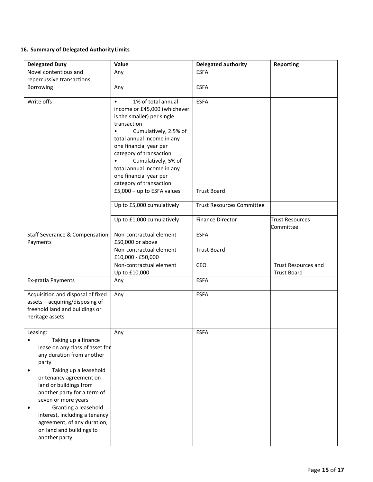# **16. Summary of Delegated AuthorityLimits**

| <b>Delegated Duty</b>                                                                                                                                                                                                                                                                                                                                                                               | Value                                                                                                                                                                                                                                                                                                                                                                                                                                                | Delegated authority                                                                              | <b>Reporting</b>                    |
|-----------------------------------------------------------------------------------------------------------------------------------------------------------------------------------------------------------------------------------------------------------------------------------------------------------------------------------------------------------------------------------------------------|------------------------------------------------------------------------------------------------------------------------------------------------------------------------------------------------------------------------------------------------------------------------------------------------------------------------------------------------------------------------------------------------------------------------------------------------------|--------------------------------------------------------------------------------------------------|-------------------------------------|
| Novel contentious and                                                                                                                                                                                                                                                                                                                                                                               | Any                                                                                                                                                                                                                                                                                                                                                                                                                                                  | <b>ESFA</b>                                                                                      |                                     |
| repercussive transactions                                                                                                                                                                                                                                                                                                                                                                           |                                                                                                                                                                                                                                                                                                                                                                                                                                                      |                                                                                                  |                                     |
| Borrowing                                                                                                                                                                                                                                                                                                                                                                                           | Any                                                                                                                                                                                                                                                                                                                                                                                                                                                  | <b>ESFA</b>                                                                                      |                                     |
| Write offs                                                                                                                                                                                                                                                                                                                                                                                          | 1% of total annual<br>$\bullet$<br>income or £45,000 (whichever<br>is the smaller) per single<br>transaction<br>Cumulatively, 2.5% of<br>$\bullet$<br>total annual income in any<br>one financial year per<br>category of transaction<br>Cumulatively, 5% of<br>$\bullet$<br>total annual income in any<br>one financial year per<br>category of transaction<br>£5,000 - up to ESFA values<br>Up to £5,000 cumulatively<br>Up to £1,000 cumulatively | <b>ESFA</b><br><b>Trust Board</b><br><b>Trust Resources Committee</b><br><b>Finance Director</b> | <b>Trust Resources</b><br>Committee |
| <b>Staff Severance &amp; Compensation</b>                                                                                                                                                                                                                                                                                                                                                           | Non-contractual element                                                                                                                                                                                                                                                                                                                                                                                                                              | <b>ESFA</b>                                                                                      |                                     |
| Payments                                                                                                                                                                                                                                                                                                                                                                                            | £50,000 or above                                                                                                                                                                                                                                                                                                                                                                                                                                     |                                                                                                  |                                     |
|                                                                                                                                                                                                                                                                                                                                                                                                     | Non-contractual element<br>£10,000 - £50,000                                                                                                                                                                                                                                                                                                                                                                                                         | <b>Trust Board</b>                                                                               |                                     |
|                                                                                                                                                                                                                                                                                                                                                                                                     | Non-contractual element                                                                                                                                                                                                                                                                                                                                                                                                                              | CEO                                                                                              | Trust Resources and                 |
|                                                                                                                                                                                                                                                                                                                                                                                                     | Up to £10,000                                                                                                                                                                                                                                                                                                                                                                                                                                        |                                                                                                  | <b>Trust Board</b>                  |
| Ex-gratia Payments                                                                                                                                                                                                                                                                                                                                                                                  | Any                                                                                                                                                                                                                                                                                                                                                                                                                                                  | <b>ESFA</b>                                                                                      |                                     |
| Acquisition and disposal of fixed<br>assets - acquiring/disposing of<br>freehold land and buildings or<br>heritage assets                                                                                                                                                                                                                                                                           | Any                                                                                                                                                                                                                                                                                                                                                                                                                                                  | <b>ESFA</b>                                                                                      |                                     |
| Leasing:<br>Taking up a finance<br>$\bullet$<br>lease on any class of asset for<br>any duration from another<br>party<br>Taking up a leasehold<br>٠<br>or tenancy agreement on<br>land or buildings from<br>another party for a term of<br>seven or more years<br>Granting a leasehold<br>interest, including a tenancy<br>agreement, of any duration,<br>on land and buildings to<br>another party | Any                                                                                                                                                                                                                                                                                                                                                                                                                                                  | <b>ESFA</b>                                                                                      |                                     |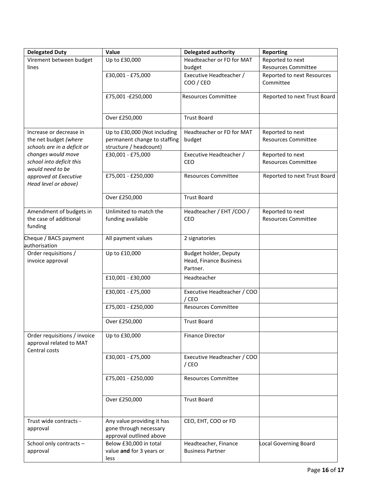| <b>Delegated Duty</b>                                                           | Value                                                                                  | <b>Delegated authority</b>                                  | <b>Reporting</b>                               |
|---------------------------------------------------------------------------------|----------------------------------------------------------------------------------------|-------------------------------------------------------------|------------------------------------------------|
| Virement between budget                                                         | Up to £30,000                                                                          | Headteacher or FD for MAT                                   | Reported to next                               |
| lines                                                                           |                                                                                        | budget                                                      | <b>Resources Committee</b>                     |
|                                                                                 | £30,001 - £75,000                                                                      | Executive Headteacher /<br>COO / CEO                        | Reported to next Resources<br>Committee        |
|                                                                                 | £75,001-£250,000                                                                       | <b>Resources Committee</b>                                  | Reported to next Trust Board                   |
|                                                                                 | Over £250,000                                                                          | <b>Trust Board</b>                                          |                                                |
| Increase or decrease in<br>the net budget (where<br>schools are in a deficit or | Up to £30,000 (Not including<br>permanent change to staffing<br>structure / headcount) | Headteacher or FD for MAT<br>budget                         | Reported to next<br><b>Resources Committee</b> |
| changes would move<br>school into deficit this<br>would need to be              | £30,001 - £75,000                                                                      | Executive Headteacher /<br>CEO                              | Reported to next<br><b>Resources Committee</b> |
| approved at Executive<br>Head level or above)                                   | £75,001 - £250,000                                                                     | <b>Resources Committee</b>                                  | Reported to next Trust Board                   |
|                                                                                 | Over £250,000                                                                          | <b>Trust Board</b>                                          |                                                |
| Amendment of budgets in<br>the case of additional<br>funding                    | Unlimited to match the<br>funding available                                            | Headteacher / EHT / COO /<br>CEO                            | Reported to next<br><b>Resources Committee</b> |
| Cheque / BACS payment<br>authorisation                                          | All payment values                                                                     | 2 signatories                                               |                                                |
| Order requisitions /<br>invoice approval                                        | Up to £10,000                                                                          | Budget holder, Deputy<br>Head, Finance Business<br>Partner. |                                                |
|                                                                                 | £10,001 - £30,000                                                                      | Headteacher                                                 |                                                |
|                                                                                 | £30,001 - £75,000                                                                      | Executive Headteacher / COO<br>/ CEO                        |                                                |
|                                                                                 | £75,001 - £250,000                                                                     | <b>Resources Committee</b>                                  |                                                |
|                                                                                 | Over £250,000                                                                          | <b>Trust Board</b>                                          |                                                |
| Order requisitions / invoice<br>approval related to MAT<br>Central costs        | Up to £30,000                                                                          | <b>Finance Director</b>                                     |                                                |
|                                                                                 | £30,001 - £75,000                                                                      | Executive Headteacher / COO<br>/ CEO                        |                                                |
|                                                                                 | £75,001 - £250,000                                                                     | <b>Resources Committee</b>                                  |                                                |
|                                                                                 | Over £250,000                                                                          | <b>Trust Board</b>                                          |                                                |
| Trust wide contracts -<br>approval                                              | Any value providing it has<br>gone through necessary<br>approval outlined above        | CEO, EHT, COO or FD                                         |                                                |
| School only contracts -<br>approval                                             | Below £30,000 in total<br>value and for 3 years or<br>less                             | Headteacher, Finance<br><b>Business Partner</b>             | Local Governing Board                          |